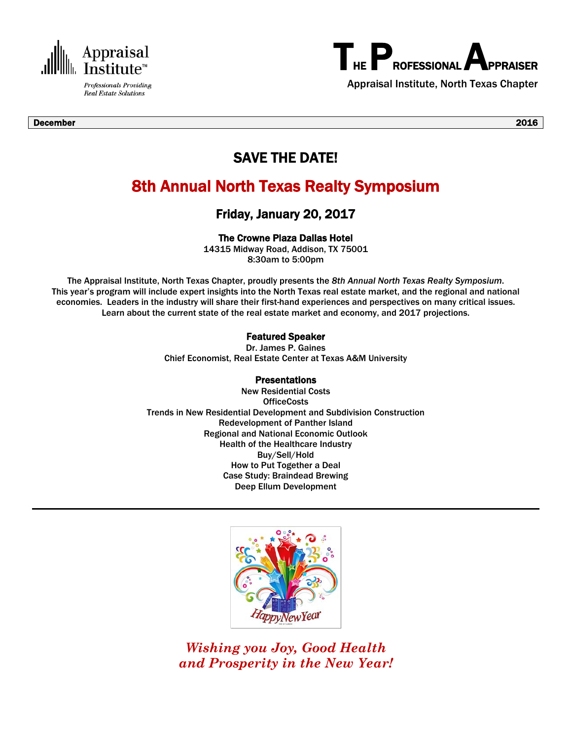

**Real Estate Solutions** 



Appraisal Institute, North Texas Chapter

### SAVE THE DATE!

### 8th Annual North Texas Realty Symposium

Friday, January 20, 2017

The Crowne Plaza Dallas Hotel

14315 Midway Road, Addison, TX 75001 8:30am to 5:00pm

The Appraisal Institute, North Texas Chapter, proudly presents the *8th Annual North Texas Realty Symposium*. This year's program will include expert insights into the North Texas real estate market, and the regional and national economies. Leaders in the industry will share their first-hand experiences and perspectives on many critical issues. Learn about the current state of the real estate market and economy, and 2017 projections.

#### Featured Speaker

Dr. James P. Gaines Chief Economist, Real Estate Center at Texas A&M University

#### **Presentations**

New Residential Costs **OfficeCosts** Trends in New Residential Development and Subdivision Construction Redevelopment of Panther Island Regional and National Economic Outlook Health of the Healthcare Industry Buy/Sell/Hold How to Put Together a Deal Case Study: Braindead Brewing Deep Ellum Development



*Wishing you Joy, Good Health and Prosperity in the New Year!*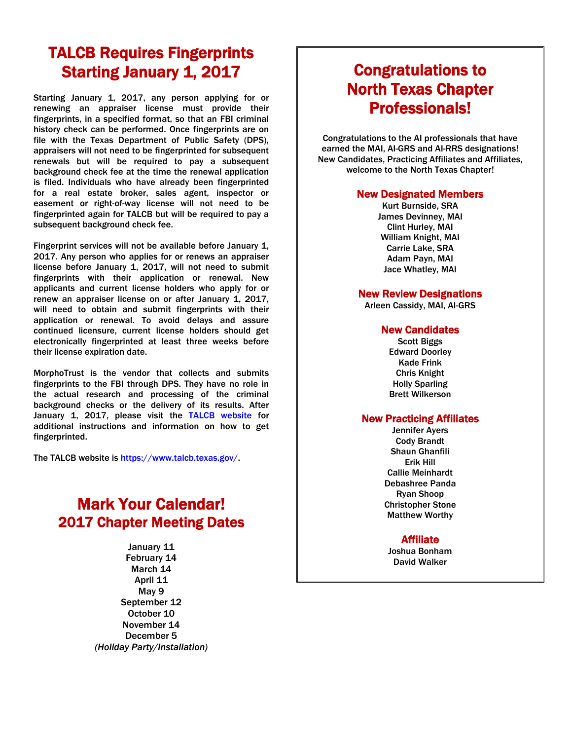## TALCB Requires Fingerprints Starting January 1, 2017

Starting January 1, 2017, any person applying for or renewing an appraiser license must provide their fingerprints, in a specified format, so that an FBI criminal history check can be performed. Once fingerprints are on file with the Texas Department of Public Safety (DPS), appraisers will not need to be fingerprinted for subsequent renewals but will be required to pay a subsequent background check fee at the time the renewal application is filed. Individuals who have already been fingerprinted for a real estate broker, sales agent, inspector or easement or right-of-way license will not need to be fingerprinted again for TALCB but will be required to pay a subsequent background check fee.

Fingerprint services will not be available before January 1, 2017. Any person who applies for or renews an appraiser license before January 1, 2017, will not need to submit fingerprints with their application or renewal. New applicants and current license holders who apply for or renew an appraiser license on or after January 1, 2017, will need to obtain and submit fingerprints with their application or renewal. To avoid delays and assure continued licensure, current license holders should get electronically fingerprinted at least three weeks before their license expiration date.

MorphoTrust is the vendor that collects and submits fingerprints to the FBI through DPS. They have no role in the actual research and processing of the criminal background checks or the delivery of its results. After January 1, 2017, please visit the TALCB website for additional instructions and information on how to get fingerprinted.

The TALCB website is [https://www.talcb.texas.gov/.](https://www.talcb.texas.gov/)

### Mark Your Calendar! 2017 Chapter Meeting Dates

January 11 February 14 March 14 April 11 May 9 September 12 October 10 November 14 December 5 *(Holiday Party/Installation)*

# Congratulations to North Texas Chapter **Professionals!**<br>Congratulations to the AI professionals that have

earned the MAI, AI-GRS and AI-RRS designations! New Candidates, Practicing Affiliates and Affiliates, welcome to the North Texas Chapter!

#### New Designated Members

Kurt Burnside, SRA James Devinney, MAI Clint Hurley, MAI William Knight, MAI Carrie Lake, SRA Adam Payn, MAI Jace Whatley, MAI

# New Review Designations Arleen Cassidy, MAI, AI-GRS

# **New Candidates**<br>Scott Biggs

Edward Doorley Kade Frink Chris Knight Holly Sparling Brett Wilkerson

#### New Practicing Affiliates

Jennifer Ayers Cody Brandt Shaun Ghanfili Erik Hill Callie Meinhardt Debashree Panda Ryan Shoop Christopher Stone Matthew Worthy

### Affiliate

Joshua Bonham David Walker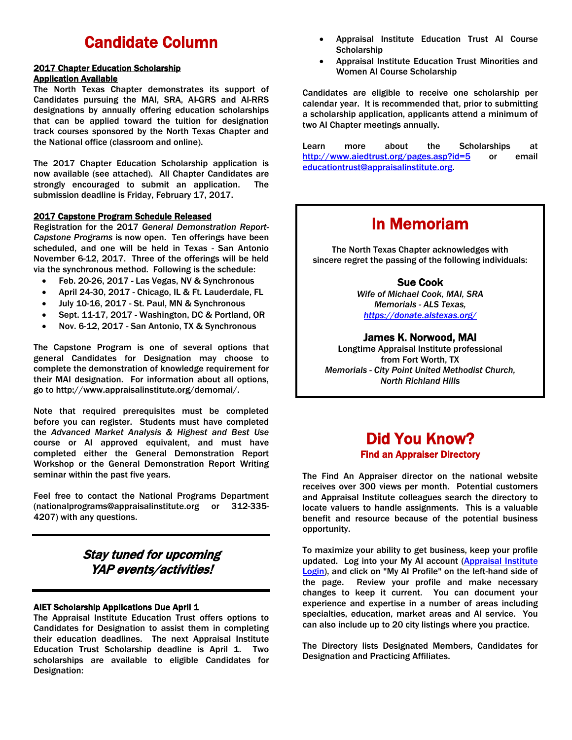### Candidate Column

#### 2017 Chapter Education Scholarship Application Available

The North Texas Chapter demonstrates its support of Candidates pursuing the MAI, SRA, AI-GRS and AI-RRS designations by annually offering education scholarships that can be applied toward the tuition for designation track courses sponsored by the North Texas Chapter and the National office (classroom and online).

The 2017 Chapter Education Scholarship application is now available (see attached). All Chapter Candidates are strongly encouraged to submit an application. The submission deadline is Friday, February 17, 2017.

#### 2017 Capstone Program Schedule Released

Registration for the 2017 *General Demonstration Report-Capstone Programs* is now open. Ten offerings have been scheduled, and one will be held in Texas - San Antonio November 6-12, 2017. Three of the offerings will be held via the synchronous method. Following is the schedule:

- Feb. 20-26, 2017 Las Vegas, NV & Synchronous
- April 24-30, 2017 Chicago, IL & Ft. Lauderdale, FL
- July 10-16, 2017 St. Paul, MN & Synchronous
- Sept. 11-17, 2017 Washington, DC & Portland, OR
- Nov. 6-12, 2017 San Antonio, TX & Synchronous

The Capstone Program is one of several options that general Candidates for Designation may choose to complete the demonstration of knowledge requirement for their MAI designation. For information about all options, go to http://www.appraisalinstitute.org/demomai/.

Note that required prerequisites must be completed before you can register. Students must have completed the *Advanced Market Analysis & Highest and Best Use*  course or AI approved equivalent, and must have completed either the General Demonstration Report Workshop or the General Demonstration Report Writing seminar within the past five years.

Feel free to contact the National Programs Department (nationalprograms@appraisalinstitute.org or 312-335- 4207) with any questions.

### Stay tuned for upcoming YAP events/activities!

#### **AIET Scholarship Applications Due April 1**

The Appraisal Institute Education Trust offers options to Candidates for Designation to assist them in completing their education deadlines. The next Appraisal Institute Education Trust Scholarship deadline is April 1. Two scholarships are available to eligible Candidates for Designation:

- Appraisal Institute Education Trust AI Course **Scholarship**
- Appraisal Institute Education Trust Minorities and Women AI Course Scholarship

Candidates are eligible to receive one scholarship per calendar year. It is recommended that, prior to submitting a scholarship application, applicants attend a minimum of two AI Chapter meetings annually.

Learn more about the Scholarships at <http://www.aiedtrust.org/pages.asp?id=5> or email educationtrust@appraisalinstitute.org.

### In Memoriam

The North Texas Chapter acknowledges with sincere regret the passing of the following individuals:

#### Sue Cook

*Wife of Michael Cook, MAI, SRA Memorials - ALS Texas, <https://donate.alstexas.org/>*

#### James K. Norwood, MAI

Longtime Appraisal Institute professional from Fort Worth, TX *Memorials - City Point United Methodist Church, North Richland Hills*

### Did You Know? Find an Appraiser Directory

The Find An Appraiser director on the national website receives over 300 views per month. Potential customers and Appraisal Institute colleagues search the directory to locate valuers to handle assignments. This is a valuable benefit and resource because of the potential business opportunity.

To maximize your ability to get business, keep your profile updated. Log into your My AI account (Appraisal Institute Login), and click on "My AI Profile" on the left-hand side of the page. Review your profile and make necessary changes to keep it current. You can document your experience and expertise in a number of areas including specialties, education, market areas and AI service. You can also include up to 20 city listings where you practice.

The Directory lists Designated Members, Candidates for Designation and Practicing Affiliates.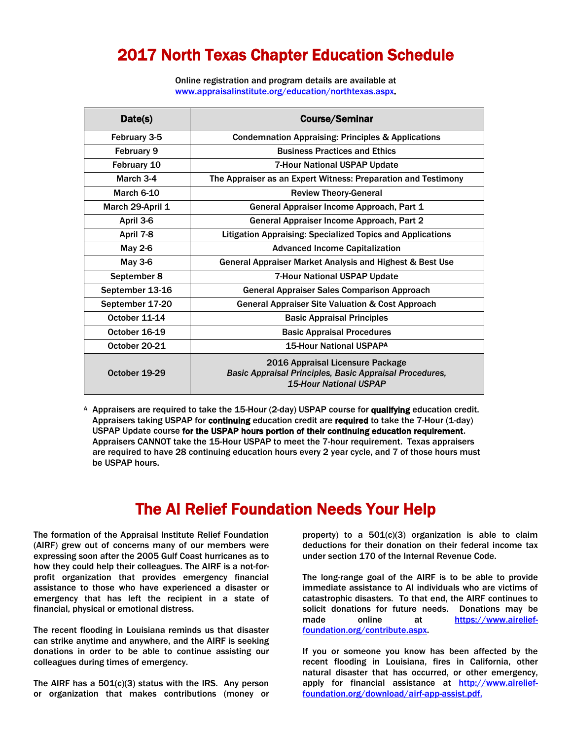### 2017 North Texas Chapter Education Schedule

Online registration and program details are available at [www.appraisalinstitute.org/education/northtexas.aspx.](http://www.appraisalinstitute.org/education/northtexas.aspx)

| Date(s)          | <b>Course/Seminar</b>                                                                                                        |
|------------------|------------------------------------------------------------------------------------------------------------------------------|
| February 3-5     | <b>Condemnation Appraising: Principles &amp; Applications</b>                                                                |
| February 9       | <b>Business Practices and Ethics</b>                                                                                         |
| February 10      | 7-Hour National USPAP Update                                                                                                 |
| March 3-4        | The Appraiser as an Expert Witness: Preparation and Testimony                                                                |
| March 6-10       | <b>Review Theory-General</b>                                                                                                 |
| March 29-April 1 | General Appraiser Income Approach, Part 1                                                                                    |
| April 3-6        | General Appraiser Income Approach, Part 2                                                                                    |
| April 7-8        | <b>Litigation Appraising: Specialized Topics and Applications</b>                                                            |
| May 2-6          | <b>Advanced Income Capitalization</b>                                                                                        |
| May 3-6          | General Appraiser Market Analysis and Highest & Best Use                                                                     |
| September 8      | 7-Hour National USPAP Update                                                                                                 |
| September 13-16  | <b>General Appraiser Sales Comparison Approach</b>                                                                           |
| September 17-20  | <b>General Appraiser Site Valuation &amp; Cost Approach</b>                                                                  |
| October 11-14    | <b>Basic Appraisal Principles</b>                                                                                            |
| October 16-19    | <b>Basic Appraisal Procedures</b>                                                                                            |
| October 20-21    | <b>15-Hour National USPAPA</b>                                                                                               |
| October 19-29    | 2016 Appraisal Licensure Package<br>Basic Appraisal Principles, Basic Appraisal Procedures,<br><b>15-Hour National USPAP</b> |

A Appraisers are required to take the 15-Hour (2-day) USPAP course for qualifying education credit. Appraisers taking USPAP for continuing education credit are required to take the 7-Hour (1-day) USPAP Update course for the USPAP hours portion of their continuing education requirement. Appraisers CANNOT take the 15-Hour USPAP to meet the 7-hour requirement. Texas appraisers are required to have 28 continuing education hours every 2 year cycle, and 7 of those hours must be USPAP hours.

### The AI Relief Foundation Needs Your Help

The formation of the Appraisal Institute Relief Foundation (AIRF) grew out of concerns many of our members were expressing soon after the 2005 Gulf Coast hurricanes as to how they could help their colleagues. The AIRF is a not-forprofit organization that provides emergency financial assistance to those who have experienced a disaster or emergency that has left the recipient in a state of financial, physical or emotional distress.

The recent flooding in Louisiana reminds us that disaster can strike anytime and anywhere, and the AIRF is seeking donations in order to be able to continue assisting our colleagues during times of emergency.

The AIRF has a  $501(c)(3)$  status with the IRS. Any person or organization that makes contributions (money or property) to a  $501(c)(3)$  organization is able to claim deductions for their donation on their federal income tax under section 170 of the Internal Revenue Code.

The long-range goal of the AIRF is to be able to provide immediate assistance to AI individuals who are victims of catastrophic disasters. To that end, the AIRF continues to solicit donations for future needs. Donations may be made online at [https://www.airelief](https://www.airelief-foundation.org/contribute.aspx)[foundation.org/contribute.aspx.](https://www.airelief-foundation.org/contribute.aspx)

If you or someone you know has been affected by the recent flooding in Louisiana, fires in California, other natural disaster that has occurred, or other emergency, apply for financial assistance at [http://www.airelief](http://www.airelief-foundation.org/download/airf-app-assist.pdf.)[foundation.org/download/airf-app-assist.pdf.](http://www.airelief-foundation.org/download/airf-app-assist.pdf.)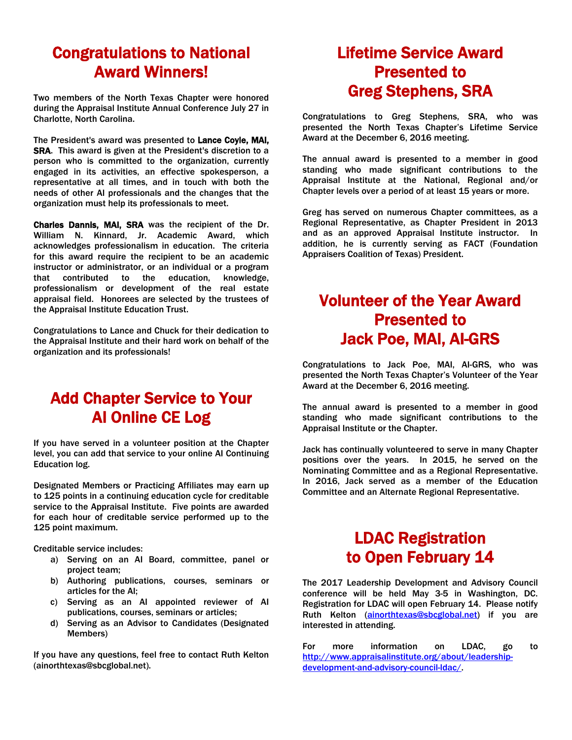### Congratulations to National Award Winners!

Two members of the North Texas Chapter were honored during the Appraisal Institute Annual Conference July 27 in Charlotte, North Carolina.

The President's award was presented to Lance Coyle, MAI, SRA. This award is given at the President's discretion to a person who is committed to the organization, currently engaged in its activities, an effective spokesperson, a representative at all times, and in touch with both the needs of other AI professionals and the changes that the organization must help its professionals to meet.

Charles Dannis, MAI, SRA was the recipient of the Dr. William N. Kinnard, Jr. Academic Award, which acknowledges professionalism in education. The criteria for this award require the recipient to be an academic instructor or administrator, or an individual or a program that contributed to the education, knowledge, professionalism or development of the real estate appraisal field. Honorees are selected by the trustees of the Appraisal Institute Education Trust.

Congratulations to Lance and Chuck for their dedication to the Appraisal Institute and their hard work on behalf of the organization and its professionals!

### Add Chapter Service to Your AI Online CE Log

If you have served in a volunteer position at the Chapter level, you can add that service to your online AI Continuing Education log.

Designated Members or Practicing Affiliates may earn up to 125 points in a continuing education cycle for creditable service to the Appraisal Institute. Five points are awarded for each hour of creditable service performed up to the 125 point maximum.

Creditable service includes:

- a) Serving on an AI Board, committee, panel or project team;
- b) Authoring publications, courses, seminars or articles for the AI;
- c) Serving as an AI appointed reviewer of AI publications, courses, seminars or articles;
- d) Serving as an Advisor to Candidates (Designated Members)

If you have any questions, feel free to contact Ruth Kelton (ainorthtexas@sbcglobal.net).

### Lifetime Service Award Presented to Greg Stephens, SRA

Congratulations to Greg Stephens, SRA, who was presented the North Texas Chapter's Lifetime Service Award at the December 6, 2016 meeting.

The annual award is presented to a member in good standing who made significant contributions to the Appraisal Institute at the National, Regional and/or Chapter levels over a period of at least 15 years or more.

Greg has served on numerous Chapter committees, as a Regional Representative, as Chapter President in 2013 and as an approved Appraisal Institute instructor. In addition, he is currently serving as FACT (Foundation Appraisers Coalition of Texas) President.

### Volunteer of the Year Award Presented to Jack Poe, MAI, AI-GRS

Congratulations to Jack Poe, MAI, AI-GRS, who was presented the North Texas Chapter's Volunteer of the Year Award at the December 6, 2016 meeting.

The annual award is presented to a member in good standing who made significant contributions to the Appraisal Institute or the Chapter.

Jack has continually volunteered to serve in many Chapter positions over the years. In 2015, he served on the Nominating Committee and as a Regional Representative. In 2016, Jack served as a member of the Education Committee and an Alternate Regional Representative.

### LDAC Registration to Open February 14

The 2017 Leadership Development and Advisory Council conference will be held May 3-5 in Washington, DC. Registration for LDAC will open February 14. Please notify Ruth Kelton [\(ainorthtexas@sbcglobal.net\)](mailto:ainorthtexas@sbcglobal.net) if you are interested in attending.

For more information on LDAC, go to [http://www.appraisalinstitute.org/about/leadership](http://www.appraisalinstitute.org/about/leadership-development-and-advisory-council-ldac/)[development-and-advisory-council-ldac/.](http://www.appraisalinstitute.org/about/leadership-development-and-advisory-council-ldac/)